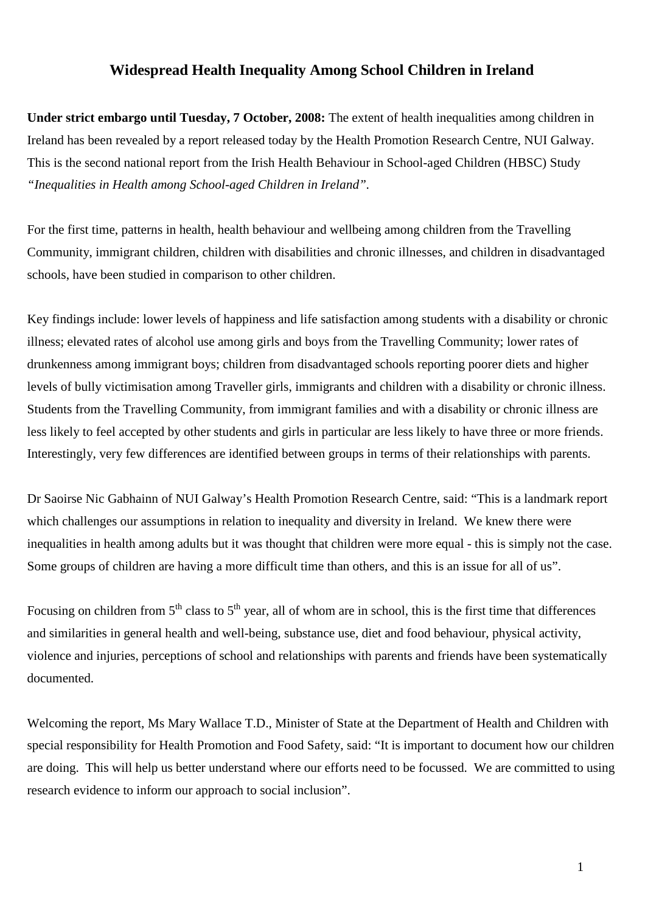## **Widespread Health Inequality Among School Children in Ireland**

**Under strict embargo until Tuesday, 7 October, 2008:** The extent of health inequalities among children in Ireland has been revealed by a report released today by the Health Promotion Research Centre, NUI Galway. This is the second national report from the Irish Health Behaviour in School-aged Children (HBSC) Study *"Inequalities in Health among School-aged Children in Ireland".*

For the first time, patterns in health, health behaviour and wellbeing among children from the Travelling Community, immigrant children, children with disabilities and chronic illnesses, and children in disadvantaged schools, have been studied in comparison to other children.

Key findings include: lower levels of happiness and life satisfaction among students with a disability or chronic illness; elevated rates of alcohol use among girls and boys from the Travelling Community; lower rates of drunkenness among immigrant boys; children from disadvantaged schools reporting poorer diets and higher levels of bully victimisation among Traveller girls, immigrants and children with a disability or chronic illness. Students from the Travelling Community, from immigrant families and with a disability or chronic illness are less likely to feel accepted by other students and girls in particular are less likely to have three or more friends. Interestingly, very few differences are identified between groups in terms of their relationships with parents.

Dr Saoirse Nic Gabhainn of NUI Galway's Health Promotion Research Centre, said: "This is a landmark report which challenges our assumptions in relation to inequality and diversity in Ireland. We knew there were inequalities in health among adults but it was thought that children were more equal - this is simply not the case. Some groups of children are having a more difficult time than others, and this is an issue for all of us".

Focusing on children from  $5<sup>th</sup>$  class to  $5<sup>th</sup>$  year, all of whom are in school, this is the first time that differences and similarities in general health and well-being, substance use, diet and food behaviour, physical activity, violence and injuries, perceptions of school and relationships with parents and friends have been systematically documented.

Welcoming the report, Ms Mary Wallace T.D., Minister of State at the Department of Health and Children with special responsibility for Health Promotion and Food Safety, said: "It is important to document how our children are doing. This will help us better understand where our efforts need to be focussed. We are committed to using research evidence to inform our approach to social inclusion".